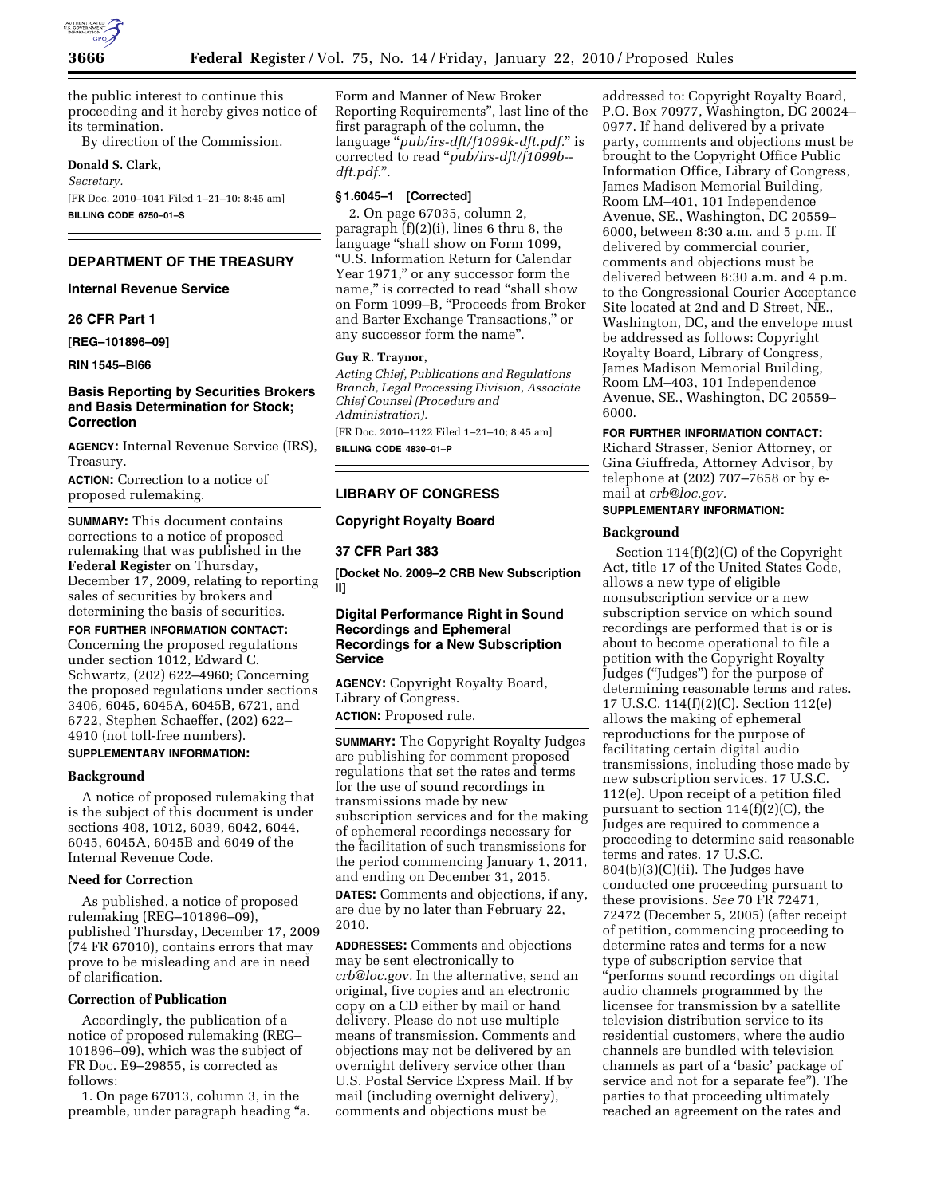

proceeding and it hereby gives notice of its termination.

By direction of the Commission.

the public interest to continue this

## **Donald S. Clark,**

*Secretary.*  [FR Doc. 2010–1041 Filed 1–21–10: 8:45 am] **BILLING CODE 6750–01–S** 

# **DEPARTMENT OF THE TREASURY**

## **Internal Revenue Service**

## **26 CFR Part 1**

**[REG–101896–09]** 

**RIN 1545–BI66** 

## **Basis Reporting by Securities Brokers and Basis Determination for Stock; Correction**

**AGENCY:** Internal Revenue Service (IRS), Treasury.

**ACTION:** Correction to a notice of proposed rulemaking.

**SUMMARY:** This document contains corrections to a notice of proposed rulemaking that was published in the **Federal Register** on Thursday, December 17, 2009, relating to reporting sales of securities by brokers and determining the basis of securities.

## **FOR FURTHER INFORMATION CONTACT:**

Concerning the proposed regulations under section 1012, Edward C. Schwartz, (202) 622–4960; Concerning the proposed regulations under sections 3406, 6045, 6045A, 6045B, 6721, and 6722, Stephen Schaeffer, (202) 622– 4910 (not toll-free numbers).

## **SUPPLEMENTARY INFORMATION:**

#### **Background**

A notice of proposed rulemaking that is the subject of this document is under sections 408, 1012, 6039, 6042, 6044, 6045, 6045A, 6045B and 6049 of the Internal Revenue Code.

#### **Need for Correction**

As published, a notice of proposed rulemaking (REG–101896–09), published Thursday, December 17, 2009 (74 FR 67010), contains errors that may prove to be misleading and are in need of clarification.

#### **Correction of Publication**

Accordingly, the publication of a notice of proposed rulemaking (REG– 101896–09), which was the subject of FR Doc. E9–29855, is corrected as follows:

1. On page 67013, column 3, in the preamble, under paragraph heading ''a.

Form and Manner of New Broker Reporting Requirements'', last line of the first paragraph of the column, the language ''*pub/irs-dft/f1099k-dft.pdf.*'' is corrected to read ''*pub/irs-dft/f1099b- dft.pdf.*''*.* 

## **§ 1.6045–1 [Corrected]**

2. On page 67035, column 2, paragraph (f)(2)(i), lines 6 thru 8, the language "shall show on Form 1099, ''U.S. Information Return for Calendar Year 1971," or any successor form the name,'' is corrected to read ''shall show on Form 1099–B, ''Proceeds from Broker and Barter Exchange Transactions,'' or any successor form the name''.

#### **Guy R. Traynor,**

*Acting Chief, Publications and Regulations Branch, Legal Processing Division, Associate Chief Counsel (Procedure and Administration).* 

**BILLING CODE 4830–01–P** 

## **LIBRARY OF CONGRESS**

## **Copyright Royalty Board**

#### **37 CFR Part 383**

**[Docket No. 2009–2 CRB New Subscription II]** 

## **Digital Performance Right in Sound Recordings and Ephemeral Recordings for a New Subscription Service**

**AGENCY:** Copyright Royalty Board, Library of Congress.

**ACTION:** Proposed rule.

**SUMMARY:** The Copyright Royalty Judges are publishing for comment proposed regulations that set the rates and terms for the use of sound recordings in transmissions made by new subscription services and for the making of ephemeral recordings necessary for the facilitation of such transmissions for the period commencing January 1, 2011, and ending on December 31, 2015.

**DATES:** Comments and objections, if any, are due by no later than February 22, 2010.

**ADDRESSES:** Comments and objections may be sent electronically to *crb@loc.gov.* In the alternative, send an original, five copies and an electronic copy on a CD either by mail or hand delivery. Please do not use multiple means of transmission. Comments and objections may not be delivered by an overnight delivery service other than U.S. Postal Service Express Mail. If by mail (including overnight delivery), comments and objections must be

addressed to: Copyright Royalty Board, P.O. Box 70977, Washington, DC 20024– 0977. If hand delivered by a private party, comments and objections must be brought to the Copyright Office Public Information Office, Library of Congress, James Madison Memorial Building, Room LM–401, 101 Independence Avenue, SE., Washington, DC 20559– 6000, between 8:30 a.m. and 5 p.m. If delivered by commercial courier, comments and objections must be delivered between 8:30 a.m. and 4 p.m. to the Congressional Courier Acceptance Site located at 2nd and D Street, NE., Washington, DC, and the envelope must be addressed as follows: Copyright Royalty Board, Library of Congress, James Madison Memorial Building, Room LM–403, 101 Independence Avenue, SE., Washington, DC 20559– 6000.

#### **FOR FURTHER INFORMATION CONTACT:**

Richard Strasser, Senior Attorney, or Gina Giuffreda, Attorney Advisor, by telephone at (202) 707–7658 or by email at *crb@loc.gov.* 

## **SUPPLEMENTARY INFORMATION:**

#### **Background**

Section 114(f)(2)(C) of the Copyright Act, title 17 of the United States Code, allows a new type of eligible nonsubscription service or a new subscription service on which sound recordings are performed that is or is about to become operational to file a petition with the Copyright Royalty Judges (''Judges'') for the purpose of determining reasonable terms and rates. 17 U.S.C. 114(f)(2)(C). Section 112(e) allows the making of ephemeral reproductions for the purpose of facilitating certain digital audio transmissions, including those made by new subscription services. 17 U.S.C. 112(e). Upon receipt of a petition filed pursuant to section 114(f)(2)(C), the Judges are required to commence a proceeding to determine said reasonable terms and rates. 17 U.S.C. 804(b)(3)(C)(ii). The Judges have conducted one proceeding pursuant to these provisions. *See* 70 FR 72471, 72472 (December 5, 2005) (after receipt of petition, commencing proceeding to determine rates and terms for a new type of subscription service that ''performs sound recordings on digital audio channels programmed by the licensee for transmission by a satellite television distribution service to its residential customers, where the audio channels are bundled with television channels as part of a 'basic' package of service and not for a separate fee''). The parties to that proceeding ultimately reached an agreement on the rates and

[FR Doc. 2010–1122 Filed 1–21–10; 8:45 am]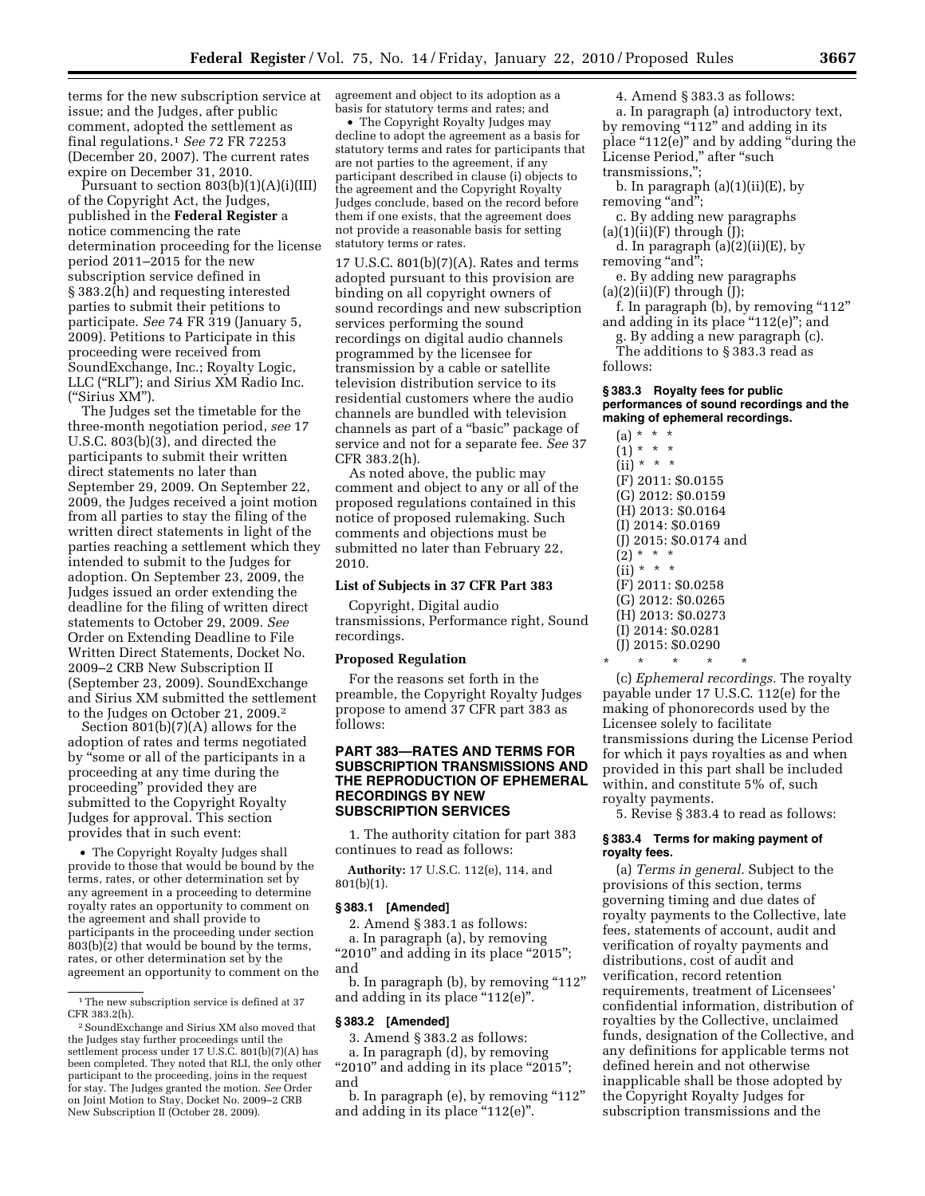terms for the new subscription service at issue; and the Judges, after public comment, adopted the settlement as final regulations.1 *See* 72 FR 72253 (December 20, 2007). The current rates expire on December 31, 2010.

Pursuant to section 803(b)(1)(A)(i)(III) of the Copyright Act, the Judges, published in the **Federal Register** a notice commencing the rate determination proceeding for the license period 2011–2015 for the new subscription service defined in § 383.2(h) and requesting interested parties to submit their petitions to participate. *See* 74 FR 319 (January 5, 2009). Petitions to Participate in this proceeding were received from SoundExchange, Inc.; Royalty Logic, LLC (''RLI''); and Sirius XM Radio Inc. (''Sirius XM'').

The Judges set the timetable for the three-month negotiation period, *see* 17 U.S.C. 803(b)(3), and directed the participants to submit their written direct statements no later than September 29, 2009. On September 22, 2009, the Judges received a joint motion from all parties to stay the filing of the written direct statements in light of the parties reaching a settlement which they intended to submit to the Judges for adoption. On September 23, 2009, the Judges issued an order extending the deadline for the filing of written direct statements to October 29, 2009. *See*  Order on Extending Deadline to File Written Direct Statements, Docket No. 2009–2 CRB New Subscription II (September 23, 2009). SoundExchange and Sirius XM submitted the settlement to the Judges on October 21, 2009.2

Section 801(b)(7)(A) allows for the adoption of rates and terms negotiated by ''some or all of the participants in a proceeding at any time during the proceeding'' provided they are submitted to the Copyright Royalty Judges for approval. This section provides that in such event:

• The Copyright Royalty Judges shall provide to those that would be bound by the terms, rates, or other determination set by any agreement in a proceeding to determine royalty rates an opportunity to comment on the agreement and shall provide to participants in the proceeding under section 803(b)(2) that would be bound by the terms, rates, or other determination set by the agreement an opportunity to comment on the agreement and object to its adoption as a basis for statutory terms and rates; and

• The Copyright Royalty Judges may decline to adopt the agreement as a basis for statutory terms and rates for participants that are not parties to the agreement, if any participant described in clause (i) objects to the agreement and the Copyright Royalty Judges conclude, based on the record before them if one exists, that the agreement does not provide a reasonable basis for setting statutory terms or rates.

17 U.S.C. 801(b)(7)(A). Rates and terms adopted pursuant to this provision are binding on all copyright owners of sound recordings and new subscription services performing the sound recordings on digital audio channels programmed by the licensee for transmission by a cable or satellite television distribution service to its residential customers where the audio channels are bundled with television channels as part of a ''basic'' package of service and not for a separate fee. *See* 37 CFR 383.2(h).

As noted above, the public may comment and object to any or all of the proposed regulations contained in this notice of proposed rulemaking. Such comments and objections must be submitted no later than February 22, 2010.

#### **List of Subjects in 37 CFR Part 383**

Copyright, Digital audio transmissions, Performance right, Sound recordings.

## **Proposed Regulation**

For the reasons set forth in the preamble, the Copyright Royalty Judges propose to amend 37 CFR part 383 as follows:

## **PART 383—RATES AND TERMS FOR SUBSCRIPTION TRANSMISSIONS AND THE REPRODUCTION OF EPHEMERAL RECORDINGS BY NEW SUBSCRIPTION SERVICES**

1. The authority citation for part 383 continues to read as follows:

**Authority:** 17 U.S.C. 112(e), 114, and 801(b)(1).

#### **§ 383.1 [Amended]**

2. Amend § 383.1 as follows:

a. In paragraph (a), by removing "2010" and adding in its place "2015"; and

b. In paragraph (b), by removing "112" and adding in its place " $112(e)$ ".

#### **§ 383.2 [Amended]**

3. Amend § 383.2 as follows: a. In paragraph (d), by removing "2010" and adding in its place "2015"; and

b. In paragraph (e), by removing "112" and adding in its place " $112(e)$ ".

4. Amend § 383.3 as follows:

a. In paragraph (a) introductory text, by removing "112" and adding in its place "112(e)" and by adding "during the License Period," after "such transmissions,'';

b. In paragraph  $(a)(1)(ii)(E)$ , by removing "and";

c. By adding new paragraphs  $(a)(1)(ii)(F)$  through  $(J);$ 

d. In paragraph (a)(2)(ii)(E), by removing "and";

e. By adding new paragraphs  $(a)(2)(ii)(F)$  through  $(J);$ 

f. In paragraph (b), by removing "112" and adding in its place " $112(e)$ "; and

g. By adding a new paragraph (c).

The additions to § 383.3 read as follows:

#### **§ 383.3 Royalty fees for public performances of sound recordings and the making of ephemeral recordings.**

```
(a) * * * 
(1) * * * *(ii) * * * *(F) 2011: $0.0155 
(G) 2012: $0.0159 
(H) 2013: $0.0164 
(I) 2014: $0.0169 
(J) 2015: $0.0174 and 
(2) * * * *(ii) * * * *(F) 2011: $0.0258 
(G) 2012: $0.0265 
(H) 2013: $0.0273 
(I) 2014: $0.0281 
(J) 2015: $0.0290
```
\* \* \* \* \* (c) *Ephemeral recordings.* The royalty payable under 17 U.S.C. 112(e) for the making of phonorecords used by the Licensee solely to facilitate transmissions during the License Period for which it pays royalties as and when provided in this part shall be included within, and constitute 5% of, such royalty payments.

5. Revise § 383.4 to read as follows:

#### **§ 383.4 Terms for making payment of royalty fees.**

(a) *Terms in general.* Subject to the provisions of this section, terms governing timing and due dates of royalty payments to the Collective, late fees, statements of account, audit and verification of royalty payments and distributions, cost of audit and verification, record retention requirements, treatment of Licensees' confidential information, distribution of royalties by the Collective, unclaimed funds, designation of the Collective, and any definitions for applicable terms not defined herein and not otherwise inapplicable shall be those adopted by the Copyright Royalty Judges for subscription transmissions and the

 $^{\rm 1}\!$  The new subscription service is defined at 37 CFR 383.2(h).

<sup>2</sup>SoundExchange and Sirius XM also moved that the Judges stay further proceedings until the settlement process under 17 U.S.C. 801(b)(7)(A) has been completed. They noted that RLI, the only other participant to the proceeding, joins in the request for stay. The Judges granted the motion. *See* Order on Joint Motion to Stay, Docket No. 2009–2 CRB New Subscription II (October 28, 2009).